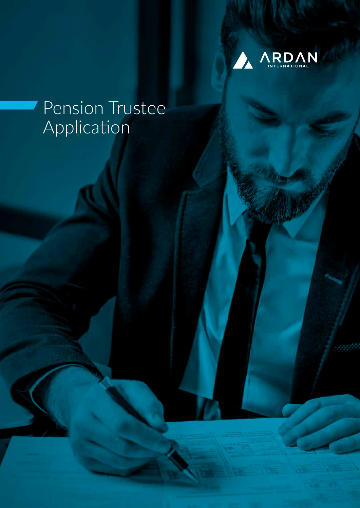

# Pension Trustee Application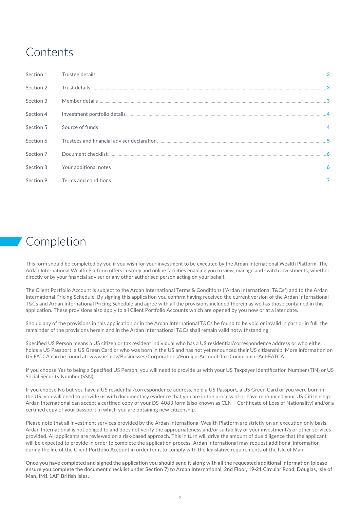# Contents

| Section 1 |  |
|-----------|--|
| Section 2 |  |
| Section 3 |  |
| Section 4 |  |
| Section 5 |  |
| Section 6 |  |
| Section 7 |  |
| Section 8 |  |
| Section 9 |  |

# Completion

This form should be completed by you if you wish for your investment to be executed by the Ardan International Wealth Platform. The Ardan International Wealth Platform offers custody and online facilities enabling you to view, manage and switch investments, whether directly or by your financial adviser or any other authorised person acting on your behalf.

The Client Portfolio Account is subject to the Ardan International Terms & Conditions ("Ardan International T&Cs") and to the Ardan International Pricing Schedule. By signing this application you confirm having received the current version of the Ardan International T&Cs and Ardan International Pricing Schedule and agree with all the provisions included therein as well as those contained in this application. These provisions also apply to all Client Portfolio Accounts which are opened by you now or at a later date.

Should any of the provisions in this application or in the Ardan International T&Cs be found to be void or invalid in part or in full, the remainder of the provisions herein and in the Ardan International T&Cs shall remain valid notwithstanding.

Specified US Person means a US citizen or tax resident individual who has a US residential/correspondence address or who either holds a US Passport, a US Green Card or who was born in the US and has not yet renounced their US citizenship. More information on US FATCA can be found at: www.irs.gov/Businesses/Corporations/Foreign-Account-Tax-Compliance-Act-FATCA

If you choose Yes to being a Specified US Person, you will need to provide us with your US Taxpayer Identification Number (TIN) or US Social Security Number (SSN).

If you choose No but you have a US residential/correspondence address, hold a US Passport, a US Green Card or you were born in the US, you will need to provide us with documentary evidence that you are in the process of or have renounced your US Citizenship. Ardan International can accept a certified copy of your DS-4083 form (also known as CLN – Certificate of Loss of Nationality) and/or a certified copy of your passport in which you are obtaining new citizenship.

Please note that all investment services provided by the Ardan International Wealth Platform are strictly on an execution only basis. Ardan International is not obliged to and does not verify the appropriateness and/or suitability of your investment/s or other services provided. All applicants are reviewed on a risk-based approach. This in turn will drive the amount of due diligence that the applicant will be expected to provide in order to complete the application process. Ardan International may request additional information during the life of the Client Portfolio Account in order for it to comply with the legislative requirements of the Isle of Man.

**Once you have completed and signed the application you should send it along with all the requested additional information (please ensure you complete the document checklist under [Section 7\)](#page-5-0) to Ardan International, 2nd Floor, 19-21 Circular Road, Douglas, Isle of Man, IM1 1AF, British Isles.**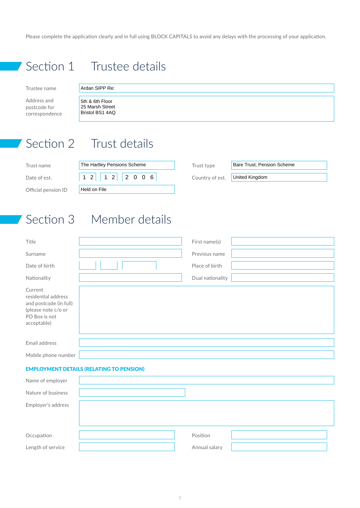<span id="page-2-0"></span>Please complete the application clearly and in full using BLOCK CAPITALS to avoid any delays with the processing of your application.

Section 1 Trustee details

Trustee name

Address and postcode for correspondence

# Ardan SIPP Re:

5th & 6th Floor 25 Marsh Street Bristol BS1 4AQ

# Section 2 Trust details

| Trust name          | The Hartley Pensions Scheme | Trust type      |
|---------------------|-----------------------------|-----------------|
| Date of est.        | $12$   1 2   2 0 0 6        | Country of est. |
| Official pension ID | Held on File                |                 |

**Bare Trust; Pension Scheme** United Kingdom

# Section 3 Member details

| Title                                                                                                           | First name(s)    |
|-----------------------------------------------------------------------------------------------------------------|------------------|
| Surname                                                                                                         | Previous name    |
| Date of birth                                                                                                   | Place of birth   |
| Nationality                                                                                                     | Dual nationality |
| Current<br>residential address<br>and postcode (in full)<br>(please note c/o or<br>PO Box is not<br>acceptable) |                  |
| Email address                                                                                                   |                  |
| Mobile phone number                                                                                             |                  |

# EMPLOYMENT DETAILS (RELATING TO PENSION)

| Name of employer   |               |  |
|--------------------|---------------|--|
| Nature of business |               |  |
| Employer's address |               |  |
|                    |               |  |
|                    |               |  |
| Occupation         | Position      |  |
| Length of service  | Annual salary |  |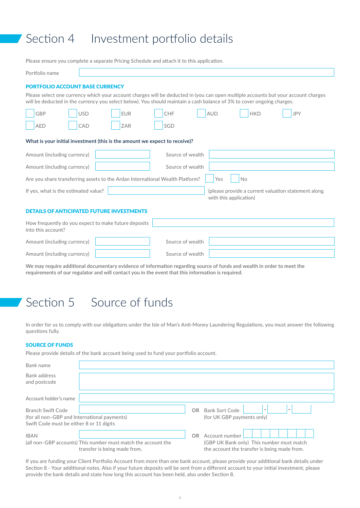# <span id="page-3-0"></span>Section 4 Investment portfolio details

Please ensure you complete a separate Pricing Schedule and attach it to this application.

| Portfolio name                                                                                                                                                                                                                                               |                                                 |            |     |            |            |            |
|--------------------------------------------------------------------------------------------------------------------------------------------------------------------------------------------------------------------------------------------------------------|-------------------------------------------------|------------|-----|------------|------------|------------|
| <b>PORTFOLIO ACCOUNT BASE CURRENCY</b>                                                                                                                                                                                                                       |                                                 |            |     |            |            |            |
| Please select one currency which your account charges will be deducted in (you can open multiple accounts but your account charges<br>will be deducted in the currency you select below). You should maintain a cash balance of 3% to cover ongoing charges. |                                                 |            |     |            |            |            |
| GBP                                                                                                                                                                                                                                                          | <b>USD</b>                                      | <b>EUR</b> | CHF | <b>AUD</b> | <b>HKD</b> | <b>JPY</b> |
| <b>AED</b>                                                                                                                                                                                                                                                   | CAD                                             | <b>ZAR</b> | SGD |            |            |            |
| What is your initial investment (this is the amount we expect to receive)?                                                                                                                                                                                   |                                                 |            |     |            |            |            |
|                                                                                                                                                                                                                                                              | Source of wealth<br>Amount (including currency) |            |     |            |            |            |
| Amount (including currency)<br>Source of wealth                                                                                                                                                                                                              |                                                 |            |     |            |            |            |
| Are you share transferring assets to the Ardan International Wealth Platform?<br>Yes<br><b>No</b>                                                                                                                                                            |                                                 |            |     |            |            |            |
| If yes, what is the estimated value?<br>(please provide a current valuation statement along<br>with this application)                                                                                                                                        |                                                 |            |     |            |            |            |
| <b>DETAILS OF ANTICIPATED FUTURE INVESTMENTS</b>                                                                                                                                                                                                             |                                                 |            |     |            |            |            |

| How frequently do you expect to make future deposits |                  |  |
|------------------------------------------------------|------------------|--|
| into this account?                                   |                  |  |
| Amount (including currency)                          | Source of wealth |  |
| Amount (including currency)                          | Source of wealth |  |

**We may require additional documentary evidence of information regarding source of funds and wealth in order to meet the requirements of our regulator and will contact you in the event that this information is required.**

# Section 5 Source of funds

In order for us to comply with our obligations under the Isle of Man's Anti-Money Laundering Regulations, you must answer the following questions fully.

### SOURCE OF FUNDS

Please provide details of the bank account being used to fund your portfolio account.

| Bank name                                                                                                            |                                                                                               |     |                                                                                                             |
|----------------------------------------------------------------------------------------------------------------------|-----------------------------------------------------------------------------------------------|-----|-------------------------------------------------------------------------------------------------------------|
| Bank address<br>and postcode                                                                                         |                                                                                               |     |                                                                                                             |
| Account holder's name                                                                                                |                                                                                               |     |                                                                                                             |
| <b>Branch Swift Code</b><br>(for all non-GBP and International payments)<br>Swift Code must be either 8 or 11 digits |                                                                                               |     | OR Bank Sort Code<br>$\overline{\phantom{a}}$<br>(for UK GBP payments only)                                 |
| <b>IBAN</b>                                                                                                          | (all non-GBP accounts) This number must match the account the<br>transfer is being made from. | OR. | Account number<br>(GBP UK Bank only) This number must match<br>the account the transfer is being made from. |

If you are funding your Client Portfolio Account from more than one bank account, please provide your additional bank details under [Section 8](#page-5-2) - Your additional notes. Also if your future deposits will be sent from a different account to your initial investment, please provide the bank details and state how long this account has been held, also under [Section 8.](#page-5-2)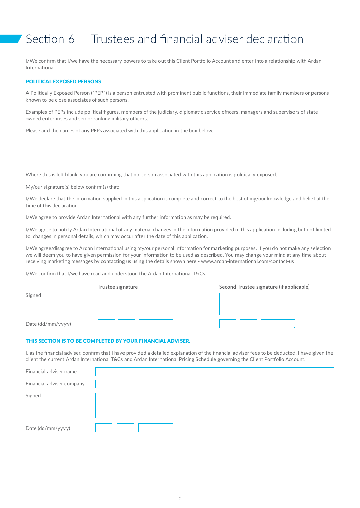# <span id="page-4-0"></span>Section 6 Trustees and financial adviser declaration

I/We confirm that I/we have the necessary powers to take out this Client Portfolio Account and enter into a relationship with Ardan International.

### POLITICAL EXPOSED PERSONS

A Politically Exposed Person ("PEP") is a person entrusted with prominent public functions, their immediate family members or persons known to be close associates of such persons.

Examples of PEPs include political figures, members of the judiciary, diplomatic service officers, managers and supervisors of state owned enterprises and senior ranking military officers.

Please add the names of any PEPs associated with this application in the box below.

Where this is left blank, you are confirming that no person associated with this application is politically exposed.

My/our signature(s) below confirm(s) that:

I/We declare that the information supplied in this application is complete and correct to the best of my/our knowledge and belief at the time of this declaration.

I/We agree to provide Ardan International with any further information as may be required.

I/We agree to notify Ardan International of any material changes in the information provided in this application including but not limited to, changes in personal details, which may occur after the date of this application.

I/We agree/disagree to Ardan International using my/our personal information for marketing purposes. If you do not make any selection we will deem you to have given permission for your information to be used as described. You may change your mind at any time about receiving marketing messages by contacting us using the details shown here - www.ardan-international.com/contact-us

I/We confirm that I/we have read and understood the Ardan International T&Cs.

|                   | Trustee signature | Second Trustee signature (if applicable) |  |
|-------------------|-------------------|------------------------------------------|--|
| Signed            |                   |                                          |  |
|                   |                   |                                          |  |
| Date (dd/mm/yyyy) |                   |                                          |  |

### <span id="page-4-1"></span>THIS SECTION IS TO BE COMPLETED BY YOUR FINANCIAL ADVISER.

I, as the financial adviser, confirm that I have provided a detailed explanation of the financial adviser fees to be deducted. I have given the client the current Ardan International T&Cs and Ardan International Pricing Schedule governing the Client Portfolio Account.

| Financial adviser name    |  |
|---------------------------|--|
| Financial adviser company |  |
| Signed                    |  |
| Date (dd/mm/yyyy)         |  |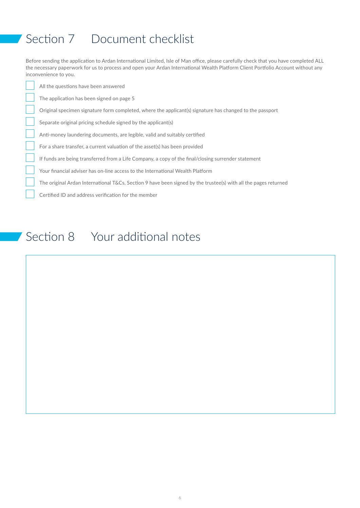# <span id="page-5-1"></span><span id="page-5-0"></span>Section 7 Document checklist

Before sending the application to Ardan International Limited, Isle of Man office, please carefully check that you have completed ALL the necessary paperwork for us to process and open your Ardan International Wealth Platform Client Portfolio Account without any inconvenience to you.

All the questions have been answered

The application has been signed on [page 5](#page-4-1)

Original specimen signature form completed, where the applicant(s) signature has changed to the passport

Separate original pricing schedule signed by the applicant(s)

Anti-money laundering documents, are legible, valid and suitably certified

For a share transfer, a current valuation of the asset(s) has been provided

If funds are being transferred from a Life Company, a copy of the final/closing surrender statement

Your financial adviser has on-line access to the International Wealth Platform

The original Ardan International T&Cs, [Section 9](#page-6-1) have been signed by the trustee(s) with all the pages returned

Certified ID and address verification for the member

# <span id="page-5-2"></span>Section 8 Your additional notes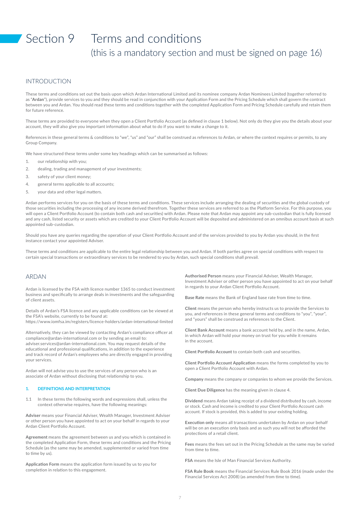# <span id="page-6-1"></span><span id="page-6-0"></span>Section 9 Terms and conditions (this is a mandatory section and must be signed on [page 16](#page-15-0))

### INTRODUCTION

These terms and conditions set out the basis upon which Ardan International Limited and its nominee company Ardan Nominees Limited (together referred to as "Ardan"), provide services to you and they should be read in conjunction with your Application Form and the Pricing Schedule which shall govern the contract between you and Ardan. You should read these terms and conditions together with the completed Application Form and Pricing Schedule carefully and retain them for future reference.

These terms are provided to everyone when they open a Client Portfolio Account (as defined in clause 1 below). Not only do they give you the details about your account, they will also give you important information about what to do if you want to make a change to it.

References in these general terms & conditions to "we", "us" and "our" shall be construed as references to Ardan, or where the context requires or permits, to any Group Company.

We have structured these terms under some key headings which can be summarised as follows:

- 1. our relationship with you;
- 2. dealing, trading and management of your investments;
- 3. safety of your client money;
- 4. general terms applicable to all accounts;
- 5. your data and other legal matters.

Ardan performs services for you on the basis of these terms and conditions. These services include arranging the dealing of securities and the global custody of those securities including the processing of any income derived therefrom. Together these services are referred to as the Platform Service. For this purpose, you will open a Client Portfolio Account (to contain both cash and securities) with Ardan. Please note that Ardan may appoint any sub-custodian that is fully licensed and any cash, listed security or assets which are credited to your Client Portfolio Account will be deposited and administered on an omnibus account basis at such appointed sub-custodian.

Should you have any queries regarding the operation of your Client Portfolio Account and of the services provided to you by Ardan you should, in the first instance contact your appointed Adviser.

These terms and conditions are applicable to the entire legal relationship between you and Ardan. If both parties agree on special conditions with respect to certain special transactions or extraordinary services to be rendered to you by Ardan, such special conditions shall prevail.

### ARDAN

Ardan is licensed by the FSA with licence number 1365 to conduct investment business and specifically to arrange deals in investments and the safeguarding of client assets.

Details of Ardan's FSA licence and any applicable conditions can be viewed at the FSA's website, currently to be found at: https://www.iomfsa.im/registers/licence-holders/ardan-international-limited

Alternatively, they can be viewed by contacting Ardan's compliance officer at compliance@ardan-international.com or by sending an email to: adviser.services@ardan-international.com. You may request details of the educational and professional qualifications, in addition to the experience and track record of Ardan's employees who are directly engaged in providing your services.

Ardan will not advise you to use the services of any person who is an associate of Ardan without disclosing that relationship to you.

#### **1. DEFINITIONS AND INTERPRETATION**

1.1 In these terms the following words and expressions shall, unless the context otherwise requires, have the following meanings:

**Adviser** means your Financial Adviser, Wealth Manager, Investment Adviser or other person you have appointed to act on your behalf in regards to your Ardan Client Portfolio Account.

**Agreement** means the agreement between us and you which is contained in the completed Application Form, these terms and conditions and the Pricing Schedule (as the same may be amended, supplemented or varied from time to time by us).

**Application Form** means the application form issued by us to you for completion in relation to this engagement.

**Authorised Person** means your Financial Adviser, Wealth Manager, Investment Adviser or other person you have appointed to act on your behalf in regards to your Ardan Client Portfolio Account.

**Base Rate** means the Bank of England base rate from time to time.

**Client** means the person who hereby instructs us to provide the Services to you, and references in these general terms and conditions to "you", "your", and "yours" shall be construed as references to the Client.

**Client Bank Account** means a bank account held by, and in the name, Ardan, in which Ardan will hold your money on trust for you while it remains in the account.

**Client Portfolio Account** to contain both cash and securities.

**Client Portfolio Account Application** means the forms completed by you to open a Client Portfolio Account with Ardan.

**Company** means the company or companies to whom we provide the Services.

**Client Due Diligence** has the meaning given in clause 4.

**Dividend** means Ardan taking receipt of a dividend distributed by cash, income or stock. Cash and income is credited to your Client Portfolio Account cash account. If stock is provided, this is added to your existing holding.

**Execution only** means all transactions undertaken by Ardan on your behalf will be on an execution only basis and as such you will not be afforded the protections of a retail client.

**Fees** means the fees set out in the Pricing Schedule as the same may be varied from time to time.

**FSA** means the Isle of Man Financial Services Authority.

**FSA Rule Book** means the Financial Services Rule Book 2016 (made under the Financial Services Act 2008) (as amended from time to time).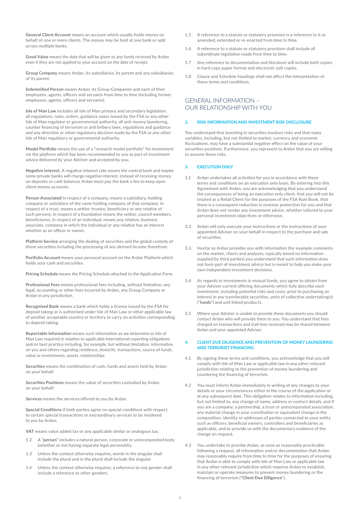**General Client Account** means an account which usually holds money on behalf of one or more clients. The money may be held at one bank or split across multiple banks.

**Good Value** means the date that will be given to any funds received by Ardan even if they are not applied to your account on the date of receipt.

**Group Company** means Ardan, its subsidiaries, its parent and any subsidiaries of its parent.

**Indemnified Person** means Ardan, its Group Companies and each of their employees, agents, officers and servants from time to time (including former employees, agents, officers and servants).

**Isle of Man Law** includes all Isle of Man primary and secondary legislation, all regulations, rules, orders, guidance notes issued by the FSA or any other Isle of Man regulator or governmental authority, all anti-money laundering, counter financing of terrorism or anti bribery laws, regulations and guidance and any direction or other regulatory decision made by the FSA or any other Isle of Man regulatory or governmental authority.

**Model Portfolio** means the use of a "research model portfolio" for investment via the platform which has been recommended to you as part of investment advice delivered by your Adviser and accepted by you.

**Negative Interest.** A negative interest rate means the central bank and maybe some private banks will charge negative interest, instead of receiving money on deposits or cash balances Ardan must pay the bank a fee to keep open client money accounts.

**Person Associated** in respect of a company, means a subsidiary, holding company or subsidiary of the same holding company of that company; in respect of a trust, means a settlor, trustee, beneficiary or any relative of such persons; in respect of a foundation means the settlor, council members, beneficiaries; in respect of an individual, means any relative, business associate, company in which the individual or any relative has an interest whether as an officer or owner.

**Platform Service** arranging the dealing of securities and the global custody of those securities including the processing of any derived income therefrom.

**Portfolio Account** means your personal account on the Ardan Platform which holds your cash and securities.

**Pricing Schedule** means the Pricing Schedule attached to the Application Form.

**Professional Fees** means professional fees including, without limitation, any legal, accounting or other fees incurred by Ardan, any Group Company or Ardan in any jurisdiction.

**Recognised Bank** means a bank which holds a licence issued by the FSA for deposit taking or is authorised under Isle of Man Law or other applicable law of another acceptable country or territory to carry on activities corresponding to deposit taking.

**Reportable Information** means such information as we determine or Isle of Man Law required in relation to applicable international reporting obligations and/or best practice including, for example, but without limitation, information on you and others regarding residence, domicile, transactions, source of funds, value or investments, assets, relationships.

**Securities** means the combination of cash, funds and assets held by Ardan on your behalf.

**Securities Positions** means the value of securities custodied by Ardan on your behalf.

**Services** means the services offered to you by Ardan.

**Special Conditions** if both parties agree on special conditions with respect to certain special transactions or extraordinary services to be rendered to you by Ardan.

**VAT** means value added tax or any applicable similar or analogous tax.

- 1.2 A "**person**" includes a natural person, corporate or unincorporated body (whether or not having separate legal personality.
- 1.3 Unless the context otherwise requires, words in the singular shall include the plural and in the plural shall include the singular.
- 1.4 Unless the context otherwise requires, a reference to one gender shall include a reference to other genders.
- 1.5 A reference to a statute or statutory provision is a reference to it as amended, extended or re-enacted from time to time.
- 1.6 A reference to a statute or statutory provision shall include all subordinate legislation made from time to time.
- 1.7 Any reference to documentation and literature will include both copies in hard copy paper format and electronic soft copies.
- 1.8 Clause and Schedule headings shall not affect the interpretation of these terms and conditions.

# GENERAL INFORMATION – OUR RELATIONSHIP WITH YOU

#### **2. RISK INFORMATION AND INVESTMENT RISK DISCLOSURE**

You understand that investing in securities involves risks and that many variables, including, but not limited to market, currency and economic fluctuations, may have a substantial negative effect on the value of your securities positions. Furthermore, you represent to Ardan that you are willing to assume these risks.

#### **3. EXECUTION ONLY**

- 3.1 Ardan undertakes all activities for you in accordance with these terms and conditions on an execution only basis. By entering into this Agreement with Ardan, you are acknowledging that you understand the consequences of being an execution only client, that you will not be treated as a Retail Client for the purposes of the FSA Rule Book, that there is a consequent reduction in investor protection for you and that Ardan does not render any investment advice, whether tailored to your personal investment objectives or otherwise.
- 3.2 Ardan will only execute your instructions or the instructions of your appointed Adviser on your behalf in respect to the purchase and sale of securities.
- 3.3 Insofar as Ardan provides you with information (for example comments on the market, charts and analyses, typically based on information supplied by third parties) you understand that such information does not form part of investment advice but is meant to help you make your own independent investment decisions.
- As regards to investments in mutual funds, you agree to obtain from your Adviser current offering documents which fully describe each investment, including potential risks and costs, prior to purchasing an interest in any transferable securities, units of collective undertaking(s) ("**funds**") and unit linked products.
- 3.5 Where your Adviser is unable to provide these documents you should contact Ardan who will provide them to you. You understand that fees charged on transactions and trail fees received may be shared between Ardan and your appointed Adviser.

#### **4. CLIENT DUE DILIGENCE AND PREVENTION OF MONEY LAUNDERING AND TERRORIST FINANCING**

- 4.1 By signing these terms and conditions, you acknowledge that you will comply with Isle of Man Law or applicable law in any other relevant jurisdiction relating to the prevention of money laundering and countering the financing of terrorism.
- 4.2 You must inform Ardan immediately in writing of any changes to your details or your circumstances either in the course of the application or at any subsequent date. This obligation relates to information including, but not limited to, any change of name, address or contact details, and if you are a company, a partnership, a trust or unincorporated association, any material change in your constitution or equivalent change in the composition, identity or addresses of parties connected to your entity such as officers, beneficial owners, controllers and beneficiaries as applicable, and to provide us with the documentary evidence of the change on request.
- You undertake to provide Ardan, as soon as reasonably practicable following a request, all information and/or documentation that Ardan may reasonably require from time to time for the purposes of ensuring that Ardan is able to comply with Isle of Man Law or applicable law in any other relevant jurisdiction which requires Ardan to establish, maintain or operate measures to prevent money laundering or the financing of terrorism ("**Client Due Diligence**").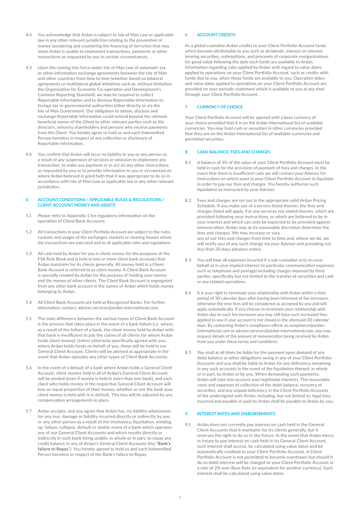- 4.4 You acknowledge that Ardan is subject to Isle of Man Law or applicable law in any other relevant jurisdiction relating to the prevention of money laundering and countering the financing of terrorism that may mean Ardan is unable to implement transactions, payments or other instructions as requested by you in certain circumstances.
- 4.5 Upon the coming into force under Isle of Man Law of automatic tax or other information exchange agreements between the Isle of Man and other countries from time to time (whether based on bilateral agreements or multilateral global initiatives such as, without limitation, the Organisation for Economic Co-operation and Development's Common Reporting Standard), we may be required to collect Reportable Information and to disclose Reportable Information to foreign tax or governmental authorities either directly or via the Isle of Man Government. Our obligation to obtain, disclose and exchange Reportable Information could extend beyond the ultimate beneficial owner of the Client to other relevant parties such as the directors, minority shareholders and persons who receive payments from the Client. You hereby agree to hold us and each Indemnified Person harmless in respect of any collection or disclosure of Reportable Information.
- 4.6 You confirm that Ardan will incur no liability to you or any person as a result of any suspension of services or omission to implement any transaction, to make any payment or to act on any other instructions as requested by you or to provide information to you in circumstances where Ardan believed in good faith that it was appropriate to do so in accordance with Isle of Man Law or applicable law in any other relevant jurisdiction.

#### **5. ACCOUNT CONDITIONS / APPLICABLE RULES & REGULATIONS / CLIENT ACCOUNT MONEY AND ASSETS**

- 5.1 Please refer to Appendix 1 for regulatory information on the operation of Client Bank Accounts.
- 5.2 All transactions in your Client Portfolio Account are subject to the rules, customs and usages of the exchanges, markets or clearing houses where the transactions are executed and to all applicable rules and regulations.
- 5.3 All cash held by Ardan for you is client money for the purposes of the FSA Rule Book and is held in one or more client bank accounts that Ardan maintains for its clients generally. All money held in a Client Bank Account is referred to as client money. A Client Bank Account is specially created by Ardan for the purpose of holding your money and the money of other clients. The Client Bank Account is segregated from any other bank account in the names of Ardan which holds money belonging to Ardan.
- 5.4 All Client Bank Accounts are held at Recognised Banks. For further information contact: adviser.services@ardan-international.com.
- 5.5 The main difference between the various types of Client Bank Account is the process that takes place in the event of a bank failure (i.e. where, as a result of the failure of a bank, the client money held by Ardan with that bank is insufficient to pay the claims of all clients for whom Ardan holds client money). Unless otherwise specifically agreed with you, where Ardan holds funds on behalf of you, these will be held in our General Client Account. Clients will be advised as appropriate in the event that Ardan operates any other types of Client Bank Accounts.
- 5.6 In the event of a default of a bank where Ardan holds a General Client Account, client monies held in all of Ardan's General Client Account will be pooled (even if money is held in more than one bank), and each client who holds money in the respective General Client Account will lose an equal proportion of their money, whether or not the bank your client money is held with is in default. This loss will be adjusted by any compensation arrangements in place.
- 5.7 Ardan accepts, and you agree that Ardan has, no liability whatsoever for any loss, damage or liability incurred directly or indirectly by you or any other person as a result of the insolvency, liquidation, winding up, failure, collapse, default or similar event of a bank which operates any of our General Client Accounts and which results directly or indirectly in such bank being unable, in whole or in part, to repay any credit balance in any of Ardan's General Client Accounts (the "**Bank's failure to Repay**"). You hereby agreed to hold us and each Indemnified Person harmless in respect of the Bank's failure to Repay.

### **6 ACCOUNT CREDITS**

As a global custodian Ardan credits to your Client Portfolio Account funds which become attributable to you such as dividends, interest on interest bearing securities, redemptions, and proceeds of corporate reorganisations for good value following the date such funds are available to Ardan. Information regarding rules applied by Ardan with regard to value dates applied to operations on your Client Portfolio Account, such as credits with funds due to you, when those funds are available to you. Operation dates and value dates applied to operations on your Client Portfolio Account are provided on your periodic statement which is available to you at any time through your Client Portfolio Account.

### **7 CURRENCY OF CHOICE**

Your Client Portfolio Account will be opened with a base currency of your choice provided that it is on the Ardan International list of available currencies. You may hold cash or securities in other currencies provided that they are on the Ardan International list of available currencies and permitted securities.

#### **8. CASH BALANCE, FEES AND CHARGES**

- 8.1 A balance of 3% of the value of your Client Portfolio Account must be held in cash for the provision of payment of fees and charges. In the event that there is insufficient cash we will contact your Advisor for instructions on which asset in your Client Portfolio Account to liquidate in order to pay our fees and charges. You hereby authorise such liquidation as instructed by your Adviser.
- 8.2 Fees and charges are set out in the appropriate valid Ardan Pricing Schedule. If you make use of a service listed therein, the fees and charges listed will apply. For any services not stated therein, which are provided following your instructions, or which are believed to be in your interest and which can only be expected to be provided against remuneration, Ardan may at its reasonable discretion determine the fees and charges. We may increase or vary any of our fees and charges from time to time and, where we do, we will notify you of any such change via your Adviser and providing not less than 30 days advance notice.
- 8.3 You will bear all expenses incurred if a sub-custodian acts on your behalf or in your implied interest (in particular communication expenses such as telephone and postage) including charges imposed by third parties, specifically but not limited to the transfer of securities and cash or any related operations.
- It is your right to terminate your relationship with Ardan within a time period of 30 calendar days after having been informed of fee increases, otherwise the new fees will be considered as accepted by you and will apply automatically. If you choose to terminate your relationship with Ardan due to such fee increases you may still have such increased fees applied to you if your account is not closed in the aforesaid 30 calendar days. By contacting Ardan's compliance officer at compliance@ardaninternational.com or adviser.services@ardan-international.com, you may request details of the amount of remuneration being received by Ardan from you under these terms and conditions.
- 8.5 You shall at all times be liable for the payment upon demand of any debit balance or other obligations owing in any of your Client Portfolio Accounts and you shall be liable to Ardan for any deficiency remaining in any such accounts in the event of the liquidation thereof, in whole or in part, by Ardan or by you. When demanding such payments, Ardan will take into account your legitimate interests. The reasonable costs and expenses of collection of the debit balance, recovery of securities, and any unpaid deficiency in the Client Portfolio Accounts of the undersigned with Ardan, including, but not limited to, legal fees, incurred and payable or paid by Ardan shall be payable to Ardan by you.

#### **9. INTEREST RATES AND DISBURSEMENTS**

9.1 Ardan does not currently pay interest on cash held in the General Client Accounts that it maintains for its clients generally, but it reserves the right to do so in the future. In the event that Ardan elects in future to pay interest on cash held in its General Client Account. such interest shall accrue, be calculated using value dates and be automatically credited to your Client Portfolio Account. A Client Portfolio Account is not permitted to become overdrawn but should it do so debit interest will be charged to your Client Portfolio Account at a rate of 2% over Base Rate (or equivalent for another currency). Such interest shall be calculated using value dates.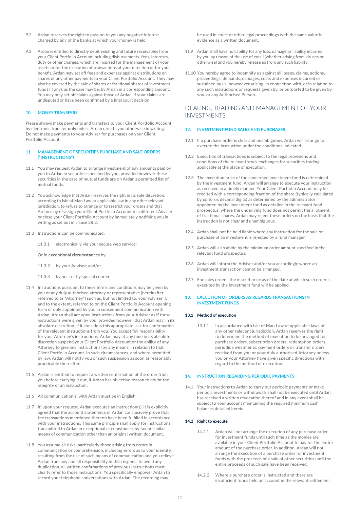- 9.2 Ardan reserves the right to pass on to you any negative interest charged by any of the banks at which your money is held.
- 9.3 Ardan is entitled to directly debit existing and future receivables from your Client Portfolio Account including disbursements, fees, interests, duty or other charges, which are incurred for the management of your assets or for the execution of transactions at your direction or for your benefit. Ardan may set off fees and expenses against distributions on shares or any other payments to your Client Portfolio Account. They may also be covered by the sale of shares or fractional shares of investment funds (if any), as the case may be, by Ardan in a corresponding amount. You may only set off claims against those of Ardan, if your claims are undisputed or have been confirmed by a final court decision.

#### **10. MONEY TRANSFERS**

Please always make payments and transfers to your Client Portfolio Account by electronic transfer **only** unless Ardan directs you otherwise in writing. Do not make payments to your Adviser for purchases on your Client Portfolio Account.

#### **11. MANAGEMENT OF SECURITIES PURCHASE AND SALE ORDERS ("INSTRUCTIONS")**

- 11.1 You may request Ardan to arrange investment of any amounts paid by you to Ardan in securities specified by you, provided however these securities in the case of mutual funds are on Ardan's permitted list of mutual funds.
- 11.2 You acknowledge that Ardan reserves the right in its sole discretion, according to Isle of Man Law or applicable law in any other relevant jurisdiction, to refuse to arrange or to restrict your orders and that Ardan may re-assign your Client Portfolio Account to a different Adviser or close your Client Portfolio Account by immediately notifying you in writing as set out in clause 38.2.
- 11.3 Instructions can be communicated:
	- 11.3.1 electronically via your secure web service;
	- Or in **exceptional circumstances** by:
	- 11.3.2 by your Adviser; and/or
	- 11.3.3 by post or by special courier
- 11.4 Instructions pursuant to these terms and conditions may be given by you or any duly authorised attorney or representative (hereinafter referred to as "Attorney") such as, but not limited to, your Adviser if, and to the extent, referred to on the Client Portfolio Account opening form or duly appointed by you in subsequent communication with Ardan. Ardan shall act upon instructions from your Adviser as if these instructions were given by you, provided however that Ardan may, in its absolute discretion, if it considers this appropriate, ask for confirmation of the relevant instructions from you. You accept full responsibility for your Attorney's instructions. Ardan may at any time in its absolute discretion suspend your Client Portfolio Account or the ability of any Attorney to give any instructions (by any means) in relation to that Client Portfolio Account. In such circumstances, and where permitted by law, Ardan will notify you of such suspension as soon as reasonably practicable thereafter.
- 11.5 Ardan is entitled to request a written confirmation of the order from you before carrying it out, if Ardan has objective reason to doubt the integrity of an instruction.
- 11.6 All communication(s) with Ardan must be in English.
- 11.7 If, upon your request, Ardan executes an instruction(s), it is explicitly agreed that the account statements of Ardan conclusively prove that the transactions mentioned thereon have been fulfilled in accordance with your instructions. This same principle shall apply for instructions transmitted to Ardan in exceptional circumstances by fax or similar means of communication other than an original written document.
- 11.8 You assume all risks, particularly those arising from errors in communication or comprehension, including errors as to your identity, resulting from the use of such means of communication and you relieve Ardan from any and all responsibility in this respect. To avoid any duplication, all written confirmations of previous instructions must clearly refer to those instructions. You specifically empower Ardan to record your telephone conversations with Ardan. The recording may

be used in court or other legal proceedings with the same value in evidence as a written document.

- 11.9 Ardan shall have no liability for any loss, damage or liability incurred by you by reason of the use of email (whether arising from viruses or otherwise) and you hereby release us from any such liability.
- 11.10 You hereby agree to indemnify us against all losses, claims, actions, proceedings, demands, damages, costs and expenses incurred or sustained by us, howsoever arising, in connection with, or in relation to, any such instructions or requests given by, or purported to be given by you, or any Authorised Person.

## DEALING, TRADING AND MANAGEMENT OF YOUR INVESTMENTS

#### **12. INVESTMENT FUND SALES AND PURCHASES**

- 12.1 If a purchase order is clear and unambiguous, Ardan will arrange to execute the instruction under the conditions indicated.
- 12.2 Execution of transactions is subject to the legal provisions and conditions of the relevant stock exchanges for securities trading applicable at the place of execution.
- 12.3 The execution price of the concerned investment fund is determined by the investment fund. Ardan will arrange to execute your instruction as received in a timely manner. Your Client Portfolio Account may be credited with a corresponding fraction of the share (typically calculated by up to six decimal digits) as determined by the administrator appointed by the investment fund as detailed in the relevant fund prospectus; where the underlying fund does not permit the allotment of fractional shares, Ardan may reject these orders on the basis that the instruction is not clear and unambiguous.
- 12.4 Ardan shall not be held liable where any instruction for the sale or purchase of an investment is rejected by a fund manager.
- 12.5 Ardan will also abide by the minimum order amount specified in the relevant fund prospectus.
- 12.6 Ardan will inform the Adviser and/or you accordingly where an investment transaction cannot be arranged.
- 12.7 For sales orders, the market price as of the date at which such order is executed by the investment fund will be applied.

#### **13. EXECUTION OF ORDERS AS REGARDS TRANSACTIONS IN INVESTMENT FUNDS**

#### **13.1 Method of execution**

13.1.1 In accordance with Isle of Man Law or applicable laws of any other relevant jurisdiction, Ardan reserves the right to determine the method of execution to be arranged for purchase orders, subscription orders, redemption orders, periodic investments, payment orders or transfer orders received from you or your duly authorised Attorney unless you or your Attorney have given specific directions with regard to the method of execution.

#### **14. INSTRUCTION REGARDING PERIODIC PAYMENTS**

14.1 Your instructions to Ardan to carry out periodic payments or make periodic investments or withdrawals shall not be executed until Ardan has received a written revocation thereof and in any event shall be subject to your account maintaining the required minimum cash balances detailed herein.

### **14.2 Right to execute**

- 14.2.1 Ardan will not arrange the execution of any purchase order for investment funds until such time as the monies are available in your Client Portfolio Account to pay for the entire amount of the purchase order. In addition, Ardan will not arrange the execution of a purchase order for investment funds with the proceeds of a sale of other securities until the entire proceeds of such sale have been received.
- 14.2.2 Where a purchase order is instructed and there are insufficient funds held on account in the relevant settlement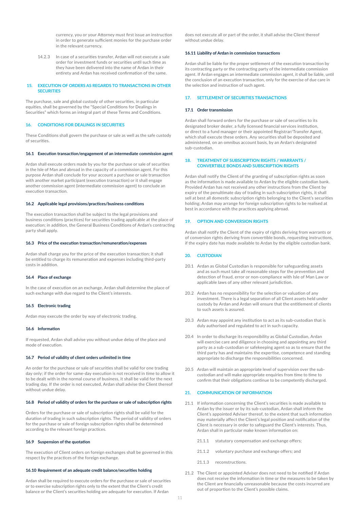currency, you or your Attorney must first issue an instruction in order to generate sufficient monies for the purchase order in the relevant currency.

14.2.3 In case of a securities transfer, Ardan will not execute a sale order for investment funds or securities until such time as they have been delivered into the name of Ardan in their entirety and Ardan has received confirmation of the same.

#### **15. EXECUTION OF ORDERS AS REGARDS TO TRANSACTIONS IN OTHER SECURITIES**

The purchase, sale and global custody of other securities, in particular equities, shall be governed by the "Special Conditions for Dealings in Securities" which forms an integral part of these Terms and Conditions.

#### **16. CONDITIONS FOR DEALINGS IN SECURITIES**

These Conditions shall govern the purchase or sale as well as the safe custody of securities.

#### **16.1 Execution transaction/engagement of an intermediate commission agent**

Ardan shall execute orders made by you for the purchase or sale of securities in the Isle of Man and abroad in the capacity of a commission agent. For this purpose Ardan shall conclude for your account a purchase or sale transaction with another market participant (execution transaction) or it shall engage another commission agent (intermediate commission agent) to conclude an execution transaction.

#### **16.2 Applicable legal provisions/practices/business conditions**

The execution transaction shall be subject to the legal provisions and business conditions (practices) for securities trading applicable at the place of execution; in addition, the General Business Conditions of Ardan's contracting party shall apply.

#### **16.3 Price of the execution transaction/remuneration/expenses**

Ardan shall charge you for the price of the execution transaction; it shall be entitled to charge its remuneration and expenses including third-party costs in addition.

#### **16.4 Place of exchange**

In the case of execution on an exchange, Ardan shall determine the place of such exchange with due regard to the Client's interests.

#### **16.5 Electronic trading**

Ardan may execute the order by way of electronic trading.

#### **16.6 Information**

If requested, Ardan shall advise you without undue delay of the place and mode of execution.

#### **16.7 Period of validity of client orders unlimited in time**

An order for the purchase or sale of securities shall be valid for one trading day only; if the order for same-day execution is not received in time to allow it to be dealt with in the normal course of business, it shall be valid for the next trading day. If the order is not executed, Ardan shall advise the Client thereof without undue delay.

#### **16.8 Period of validity of orders for the purchase or sale of subscription rights**

Orders for the purchase or sale of subscription rights shall be valid for the duration of trading in such subscription rights. The period of validity of orders for the purchase or sale of foreign subscription rights shall be determined according to the relevant foreign practices.

#### **16.9 Suspension of the quotation**

The execution of Client orders on foreign exchanges shall be governed in this respect by the practices of the foreign exchange.

#### **16.10 Requirement of an adequate credit balance/securities holding**

Ardan shall be required to execute orders for the purchase or sale of securities or to exercise subscription rights only to the extent that the Client's credit balance or the Client's securities holding are adequate for execution. If Ardan

does not execute all or part of the order, it shall advise the Client thereof without undue delay.

### **16.11 Liability of Ardan in commission transactions**

Ardan shall be liable for the proper settlement of the execution transaction by its contracting party or the contracting party of the intermediate commission agent. If Ardan engages an intermediate commission agent, it shall be liable, until the conclusion of an execution transaction, only for the exercise of due care in the selection and instruction of such agent.

#### **17. SETTLEMENT OF SECURITIES TRANSACTIONS**

#### **17.1 Order transmission**

Ardan shall forward orders for the purchase or sale of securities to its designated broker dealer, a fully licensed financial services institution, or direct to a fund manager or their appointed Registrar/Transfer Agent, which shall execute these orders. Any securities shall be deposited and administered, on an omnibus account basis, by an Ardan's designated sub-custodian.

#### **18. TREATMENT OF SUBSCRIPTION RIGHTS / WARRANTS / CONVERTIBLE BONDS AND SUBSCRIPTION RIGHTS**

Ardan shall notify the Client of the granting of subscription rights as soon as the information is made available to Ardan by the eligible custodian bank. Provided Ardan has not received any other instructions from the Client by expiry of the penultimate day of trading in such subscription rights, it shall sell at best all domestic subscription rights belonging to the Client's securities holding; Ardan may arrange for foreign subscription rights to be realised at best in accordance with the practices applying abroad.

#### **19. OPTION AND CONVERSION RIGHTS**

Ardan shall notify the Client of the expiry of rights deriving from warrants or of conversion rights deriving from convertible bonds, requesting instructions, if the expiry date has made available to Ardan by the eligible custodian bank.

#### **20. CUSTODIAN**

- 20.1 Ardan as Global Custodian is responsible for safeguarding assets and as such must take all reasonable steps for the prevention and detection of fraud, error or non-compliance with Isle of Man Law or applicable laws of any other relevant jurisdiction.
- 20.2 Ardan has no responsibility for the selection or valuation of any investment. There is a legal separation of all Client assets held under custody by Ardan and Ardan will ensure that the entitlement of clients to such assets is assured.
- 20.3 Ardan may appoint any institution to act as its sub-custodian that is duly authorised and regulated to act in such capacity.
- 20.4 In order to discharge its responsibility as Global Custodian, Ardan will exercise care and diligence in choosing and appointing any third party as a sub-custodian or safekeeping agent so as to ensure that the third party has and maintains the expertise, competence and standing appropriate to discharge the responsibilities concerned.
- 20.5 Ardan will maintain an appropriate level of supervision over the subcustodian and will make appropriate enquiries from time to time to confirm that their obligations continue to be competently discharged.

#### **21. COMMUNICATION OF INFORMATION**

- 21.1 If information concerning the Client's securities is made available to Ardan by the issuer or by its sub-custodian, Ardan shall inform the Client's appointed Adviser thereof, to the extent that such information may materially affect the Client's legal position and notification of the Client is necessary in order to safeguard the Client's interests. Thus, Ardan shall in particular make known information on:
	- 21.1.1 statutory compensation and exchange offers:
	- 21.1.2 voluntary purchase and exchange offers; and
	- 21.1.3 reconstructions.
- 21.2 The Client or appointed Adviser does not need to be notified if Ardan does not receive the information in time or the measures to be taken by the Client are financially unreasonable because the costs incurred are out of proportion to the Client's possible claims.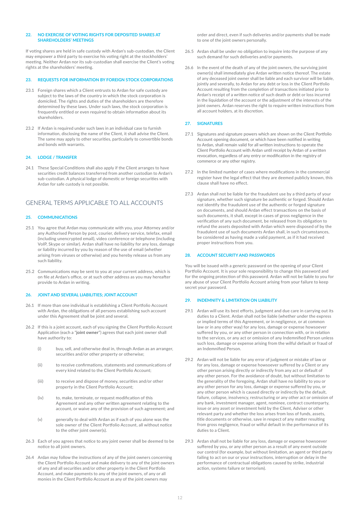#### **22. NO EXERCISE OF VOTING RIGHTS FOR DEPOSITED SHARES AT SHAREHOLDERS' MEETINGS**

If voting shares are held in safe custody with Ardan's sub-custodian, the Client may empower a third party to exercise his voting right at the stockholders' meeting. Neither Ardan nor its sub-custodian shall exercise the Client's voting rights at the shareholders' meeting.

#### **23. REQUESTS FOR INFORMATION BY FOREIGN STOCK CORPORATIONS**

- 23.1 Foreign shares which a Client entrusts to Ardan for safe custody are subject to the laws of the country in which the stock corporation is domiciled. The rights and duties of the shareholders are therefore determined by these laws. Under such laws, the stock corporation is frequently entitled or even required to obtain information about its shareholders.
- 23.2 If Ardan is required under such laws in an individual case to furnish information, disclosing the name of the Client, it shall advise the Client. The same may apply to other securities, particularly to convertible bonds and bonds with warrants.

#### **24. LODGE / TRANSFER**

24.1 These Special Conditions shall also apply if the Client arranges to have securities credit balances transferred from another custodian to Ardan's sub-custodian. A physical lodge of domestic or foreign securities with Ardan for safe custody is not possible.

### GENERAL TERMS APPLICABLE TO ALL ACCOUNTS

#### **25. COMMUNICATIONS**

- 25.1 You agree that Ardan may communicate with you, your Attorney and/or any Authorised Person by post, courier, delivery service, telefax, email (including unencrypted email), video conference or telephone (including VoIP, Skype or similar). Ardan shall have no liability for any loss, damage or liability incurred by you by reason of the use of email (whether arising from viruses or otherwise) and you hereby release us from any such liability.
- 25.2 Communications may be sent to you at your current address, which is on file at Ardan's office, or at such other address as you may hereafter provide to Ardan in writing.

#### **26. JOINT AND SEVERAL LIABILITIES; JOINT ACCOUNT**

- 26.1 If more than one individual is establishing a Client Portfolio Account with Ardan, the obligations of all persons establishing such account under this Agreement shall be joint and several.
- 26.2 If this is a joint account, each of you signing the Client Portfolio Account Application (each a "**joint owner**") agrees that each joint owner shall have authority to:
	- (i) buy, sell, and otherwise deal in, through Ardan as an arranger, securities and/or other property or otherwise;
	- (ii) to receive confirmations, statements and communications of every kind related to the Client Portfolio Account;
	- (iii) to receive and dispose of money, securities and/or other property in the Client Portfolio Account;
	- (iv) to, make, terminate, or request modification of this Agreement and any other written agreement relating to the account, or waive any of the provision of such agreement; and
	- (v) generally to deal with Ardan as if each of you alone was the sole owner of the Client Portfolio Account, all without notice to the other joint owner(s).
- 26.3 Each of you agrees that notice to any joint owner shall be deemed to be notice to all joint owners.
- 26.4 Ardan may follow the instructions of any of the joint owners concerning the Client Portfolio Account and make delivery to any of the joint owners of any and all securities and/or other property in the Client Portfolio Account, and make payments to any of the joint owners, of any or all monies in the Client Portfolio Account as any of the joint owners may

order and direct, even if such deliveries and/or payments shall be made to one of the joint owners personally.

- 26.5 Ardan shall be under no obligation to inquire into the purpose of any such demand for such deliveries and/or payments.
- 26.6 In the event of the death of any of the joint owners, the surviving joint owner(s) shall immediately give Ardan written notice thereof. The estate of any deceased joint owner shall be liable and each survivor will be liable, jointly and severally, to Ardan for any debt or loss in the Client Portfolio Account resulting from the completion of transactions initiated prior to Ardan's receipt of a written notice of such death or debt or loss incurred in the liquidation of the account or the adjustment of the interests of the joint owners. Ardan reserves the right to require written instructions from all account holders, at its discretion.

#### **27. SIGNATURES**

- 27.1 Signatures and signature powers which are shown on the Client Portfolio Account opening document, or which have been notified in writing to Ardan, shall remain valid for all written instructions to operate the Client Portfolio Account with Ardan until receipt by Ardan of a written revocation, regardless of any entry or modification in the registry of commerce or any other registry.
- 27.2 In the limited number of cases where modifications in the commercial register have the legal effect that they are deemed publicly known, this clause shall have no effect.
- 27.3 Ardan shall not be liable for the fraudulent use by a third party of your signature, whether such signature be authentic or forged. Should Ardan not identify the fraudulent use of the authentic or forged signature on documents, and should Ardan effect transactions on the basis of such documents, it shall, except in cases of gross negligence in the verification of any such document, be released from its obligation to refund the assets deposited with Ardan which were disposed of by the fraudulent use of such documents Ardan shall, in such circumstances, be considered as having made a valid payment, as if it had received proper instructions from you.

#### **28. ACCOUNT SECURITY AND PASSWORDS**

You will be issued with a generic password on the opening of your Client Portfolio Account. It is your sole responsibility to change this password and for the ongoing protection of this password. Ardan will not be liable to you for any abuse of your Client Portfolio Account arising from your failure to keep secret your password.

#### **29. INDEMNITY & LIMITATION ON LIABILITY**

- 29.1 Ardan will use its best efforts, judgment and due care in carrying out its duties to a Client. Ardan shall not be liable (whether under the express or implied terms of this Agreement, or in negligence, or at common law or in any other way) for any loss, damage or expense howsoever suffered by you, or any other person in connection with, or in relation to the services, or any act or omission of any Indemnified Person unless such loss, damage or expense arising from the wilful default or fraud of an Indemnified Person.
- 29.2 Ardan will not be liable for any error of judgment or mistake of law or for any loss, damage or expense howsoever suffered by a Client or any other person arising directly or indirectly from any act or default of any other person. For the avoidance of doubt, but without limitation to the generality of the foregoing, Ardan shall have no liability to you or any other person for any loss, damage or expense suffered by you, or any other person which is caused directly or indirectly by the default, failure, collapse, insolvency, restructuring or any other act or omission of any bank, investment manager, agent, nominee, contract counterparty, issue or any asset or investment held by the Client, Adviser or other relevant party and whether the loss arises from loss of funds, assets, title documents or otherwise, save in respect of any matter resulting from gross negligence, fraud or wilful default in the performance of its duties to a Client.
- 29.3 Ardan shall not be liable for any loss, damage or expense howsoever suffered by you, or any other person as a result of any event outside our control (for example, but without limitation, an agent or third party failing to act on our or your instructions, interruption or delay in the performance of contractual obligations caused by strike, industrial action, systems failure or terrorism).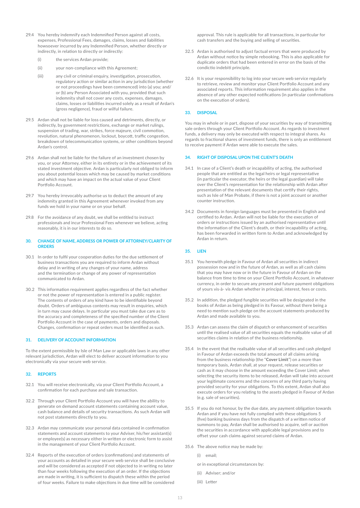- 29.4 You hereby indemnify each Indemnified Person against all costs, expenses, Professional Fees, damages, claims, losses and liabilities howsoever incurred by any Indemnified Person, whether directly or indirectly, in relation to directly or indirectly:
	- (i) the services Ardan provide;
	- (ii) your non-compliance with this Agreement;
	- (iii) any civil or criminal enquiry, investigation, prosecution, regulatory action or similar action in any jurisdiction (whether or not proceedings have been commenced) into (a) you; and/ or (b) any Person Associated with you, provided that such indemnity shall not cover any costs, expenses, damages, claims, losses or liabilities incurred solely as a result of Ardan's (gross negligence), fraud or wilful failure.
- 29.5 Ardan shall not be liable for loss caused and detriments, directly, or indirectly, by government restrictions, exchange or market rulings, suspension of trading, war, strikes, force majeure, civil commotion, revolution, natural phenomenon, lockout, boycott, traffic congestion, breakdown of telecommunication systems, or other conditions beyond Ardan's control.
- 29.6 Ardan shall not be liable for the failure of an investment chosen by you, or your Attorney, either in its entirety or in the achievement of its stated investment objective. Ardan is particularly not obliged to inform you about potential losses which may be caused by market conditions and which may have an impact on the actual value of your Client Portfolio Account.
- 29.7 You hereby irrevocably authorise us to deduct the amount of any indemnity granted in this Agreement whenever invoked from any funds we hold in your name or on your behalf.
- 29.8 For the avoidance of any doubt, we shall be entitled to instruct professionals and incur Professional Fees whenever we believe, acting reasonably, it is in our interests to do so.

#### **30. CHANGE OF NAME, ADDRESS OR POWER OF ATTORNEY/CLARITY OF ORDERS**

- 30.1 In order to fulfil your cooperation duties for the due settlement of business transactions you are required to inform Ardan without delay and in writing of any changes of your name, address and the termination or change of any power of representation communicated to Ardan.
- 30.2 This information requirement applies regardless of the fact whether or not the power of representation is entered in a public register. The contents of orders of any kind have to be identifiable beyond doubt. Orders of ambiguous contents may result in enquiries, which in turn may cause delays. In particular you must take due care as to the accuracy and completeness of the specified number of the Client Portfolio Account in the case of payments, orders and disposals. Changes, confirmation or repeat orders must be identified as such.

#### **31. DELIVERY OF ACCOUNT INFORMATION**

To the extent permissible by Isle of Man Law or applicable laws in any other relevant jurisdiction, Ardan will elect to deliver account information to you electronically via your secure web service.

#### **32. REPORTS**

- 32.1 You will receive electronically, via your Client Portfolio Account, a confirmation for each purchase and sale transaction.
- 32.2 Through your Client Portfolio Account you will have the ability to generate on demand account statements containing account value, cash balance and details of security transactions. As such Ardan will not post statements directly to you.
- 32.3 Ardan may communicate your personal data contained in confirmation statements and account statements to your Adviser, his/her assistant(s) or employee(s) as necessary either in written or electronic form to assist in the management of your Client Portfolio Account.
- 32.4 Reports of the execution of orders (confirmations) and statements of your accounts as detailed in your secure web service shall be conclusive and will be considered as accepted if not objected to in writing no later than four weeks following the execution of an order. If the objections are made in writing, it is sufficient to dispatch these within the period of four weeks. Failure to make objections in due time will be considered

approval. This rule is applicable for all transactions, in particular for cash transfers and the buying and selling of securities.

- 32.5 Ardan is authorised to adjust factual errors that were produced by Ardan without notice by simple rebooking. This is also applicable for duplicate orders that had been entered in error on the basis of the condictio indebiti principle.
- 32.6 It is your responsibility to log into your secure web service regularly to retrieve, review and monitor your Client Portfolio Account and any associated reports. This information requirement also applies in the absence of any other expected notifications (in particular confirmations on the execution of orders).

#### **33. DISPOSAL**

You may in whole or in part, dispose of your securities by way of transmitting sale orders through your Client Portfolio Account. As regards to investment funds, a delivery may only be executed with respect to integral shares. As regards to fractional shares of investment funds, there is only an entitlement to receive payment if Ardan were able to execute the sales.

#### **34. RIGHT OF DISPOSAL UPON THE CLIENT'S DEATH**

- 34.1 In case of a Client's death or incapability of acting, the authorised people that are entitled as the legal heirs or legal representative (in particular the executor, the heirs or the legal guardian) will take over the Client's representation for the relationship with Ardan after presentation of the relevant documents that certify their rights, such as Isle of Man Probate, if there is not a joint account or another counter instruction.
- 34.2 Documents in foreign languages must be presented in English and certified to Ardan. Ardan will not be liable for the execution of orders or instructions issued by an authorised representative until the information of the Client's death, or their incapability of acting, has been forwarded in written form to Ardan and acknowledged by Ardan in return.

#### **35. LIEN**

- 35.1 You herewith pledge in Favour of Ardan all securities in indirect possession now and in the future of Ardan, as well as all cash claims that you may have now or in the future in Favour of Ardan on the balance from time to time on your Client Portfolio Account, in whatever currency, in order to secure any present and future payment obligations of yours vis-à- vis Ardan whether in principal, interest, fees or costs.
- 35.2 In addition, the pledged fungible securities will be designated in the books of Ardan as being pledged in its Favour, without there being a need to mention such pledge on the account statements produced by Ardan and made available to you.
- 35.3 Ardan can assess the claim of dispatch or enhancement of securities until the realised value of all securities equals the realisable value of all securities claims in relation of the business relationship.
- 35.4 In the event that the realisable value of all securities and cash pledged in Favour of Ardan exceeds the total amount of all claims arising from the business relationship (the "**Cover Limit**") on a more than temporary basis, Ardan shall, at your request, release securities or cash as it may choose in the amount exceeding the Cover Limit; when selecting the security items to be released, Ardan will take into account your legitimate concerns and the concerns of any third party having provided security for your obligations. To this extent, Ardan shall also execute orders for you relating to the assets pledged in Favour of Ardan (e.g. sale of securities).
- 35.5 If you do not honour, by the due date, any payment obligation towards Ardan and if you have not fully complied with these obligations 5 (five) banking business days from the dispatch of a written notice of summons to pay, Ardan shall be authorised to acquire, sell or auction the securities in accordance with applicable legal provisions and to offset your cash claims against secured claims of Ardan.
- 35.6 The above notice may be made by:
	- (i) email;
	- or in exceptional circumstances by:
	- (ii) Adviser; and/or
	- (iii) Letter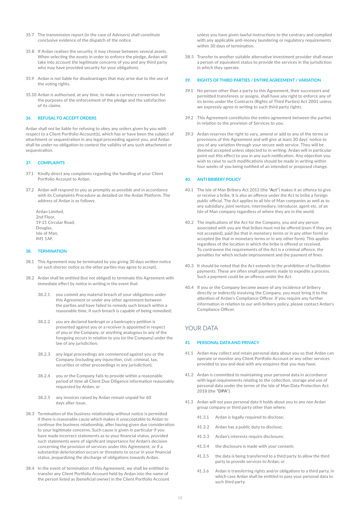- 35.7 The transmission report (in the case of Advisers) shall constitute conclusive evidence of the dispatch of the notice.
- 35.8 If Ardan realises the security, it may choose between several assets. When selecting the assets in order to enforce the pledge, Ardan will take into account the legitimate concerns of you and any third party who may have provided security for your obligations.
- 35.9 Ardan is not liable for disadvantages that may arise due to the use of the voting rights.
- 35.10 Ardan is authorised, at any time, to make a currency conversion for the purposes of the enforcement of the pledge and the satisfaction of its claims.

#### **36. REFUSAL TO ACCEPT ORDERS**

Ardan shall not be liable for refusing to obey any orders given by you with respect to a Client Portfolio Account(s), which has or have been the subject of attachment or sequestration in any legal proceeding against you, and Ardan shall be under no obligation to contest the validity of any such attachment or sequestration.

#### **37. COMPLAINTS**

- 37.1 Kindly direct any complaints regarding the handling of your Client Portfolio Account to Ardan.
- 37.2 Ardan will respond to you as promptly as possible and in accordance with its Complaints Procedure as detailed on the Ardan Platform. The address of Ardan is as follows:

Ardan Limited, 2nd Floor, 19-21 Circular Road, Douglas, Isle of Man, IM1 1AF.

#### **38. TERMINATION**

- 38.1 This Agreement may be terminated by you giving 30 days written notice (or such shorter notice as the other parties may agree to accept).
- 38.2 Ardan shall be entitled (but not obliged) to terminate this Agreement with immediate effect by notice in writing in the event that:
	- 38.2.1 you commit any material breach of your obligations under this Agreement or under any other agreement between the parties and have failed to remedy such breach within a reasonable time, if such breach is capable of being remedied;
	- 38.2.2 you are declared bankrupt or a bankruptcy petition is presented against you or a receiver is appointed in respect of you or the Company, or anything analogous to any of the foregoing occurs in relation to you (or the Company) under the law of any jurisdiction;
	- 38.2.3 any legal proceedings are commenced against you or the Company (including any injunction, civil, criminal, tax, securities or other proceedings in any jurisdiction);
	- 38.2.4 you or the Company fails to provide within a reasonable period of time all Client Due Diligence information reasonably requested by Ardan; or
	- 38.2.5 any invoices raised by Ardan remain unpaid for 60 days after issue.
- 38.3 Termination of the business relationship without notice is permitted if there is reasonable cause which makes it unacceptable to Ardan to continue the business relationship, after having given due consideration to your legitimate concerns. Such cause is given in particular if you have made incorrect statements as to your financial status, provided such statements were of significant importance for Ardan's decision concerning the provision of services under this Agreement, or if a substantial deterioration occurs or threatens to occur in your financial status, jeopardizing the discharge of obligations towards Ardan.
- 38.4 In the event of termination of this Agreement, we shall be entitled to transfer any Client Portfolio Account held by Ardan into the name of the person listed as (beneficial owner) in the Client Portfolio Account

unless you have given lawful instructions to the contrary and complied with any applicable anti-money laundering or regulatory requirements within 30 days of termination.

38.5 Transfer to another suitable alternative investment provider shall mean a person of equivalent status to provide the services in the jurisdiction in which they operate.

### **39. RIGHTS OF THIRD PARTIES / ENTIRE AGREEMENT / VARIATION**

- 39.1 No person other than a party to this Agreement, their successors and permitted transferees or assigns, shall have any right to enforce any of its terms under the Contracts (Rights of Third Parties) Act 2001 unless we expressly agree in writing to such third party rights.
- 39.2 This Agreement constitutes the entire agreement between the parties in relation to the provision of Services to you.
- 39.3 Ardan reserves the right to vary, amend or add to any of the terms or provisions of this Agreement and will give at least 30 days' notice to you of any variation through your secure web service. They will be deemed accepted unless objected to in writing. Ardan will in particular point out this effect to you in any such notification. Any objection you wish to raise to such modifications should be made in writing within four weeks of you being notified of an intended or proposed change.

#### **40. ANTI BRIBERY POLICY**

- 40.1 The Isle of Man Bribery Act 2013 (the "**Act**") makes it an offence to give or receive a bribe. It is also an offence under the Act to bribe a foreign public official. The Act applies to all Isle of Man companies as well as to any subsidiary, joint venture, intermediary, introducer, agent etc. of an Isle of Man company regardless of where they are in the world.
- 40.2 The implications of the Act for the Company, you and any person associated with you are that bribes must not be offered (even if they are not accepted), paid (be that in monetary terms or in any other form) or accepted (be that in monetary terms or in any other form). This applies regardless of the location in which the bribe is offered or received. To contravene the requirements of the Act is a criminal offence, the penalties for which include imprisonment and the payment of fines.
- 40.3 It should be noted that the Act extends to the prohibition of facilitation payments. These are often small payments made to expedite a process. Such a payment could be an offence under the Act.
- 40.4 If you or the Company become aware of any incidence of bribery directly or indirectly involving the Company, you must bring it to the attention of Ardan's Compliance Officer. If you require any further information in relation to our anti-bribery policy, please contact Ardan's Compliance Officer.

# YOUR DATA

#### **41. PERSONAL DATA AND PRIVACY**

- 41.1 Ardan may collect and retain personal data about you so that Ardan can operate or monitor any Client Portfolio Account or any other services provided to you and deal with any enquires that you may have.
- 41.2 Ardan is committed to maintaining your personal data in accordance with legal requirements relating to the collection, storage and use of personal data under the terms of the Isle of Man Data Protection Act 2018 (the "**DPA**").
- 41.3 Ardan will not pass personal data it holds about you to any non Ardan group company or third party other than where:
	- 41.3.1 Ardan is legally required to disclose;
	- 41.3.2 Ardan has a public duty to disclose;
	- 41.3.3 Ardan's interests require disclosure;
	- 41.3.4 the disclosure is made with your consent;
	- 41.3.5 the data is being transferred to a third party to allow the third party to provide services to Ardan; or
	- 41.3.6 Ardan is transferring rights and/or obligations to a third party, in which case Ardan shall be entitled to pass your personal data to such third party.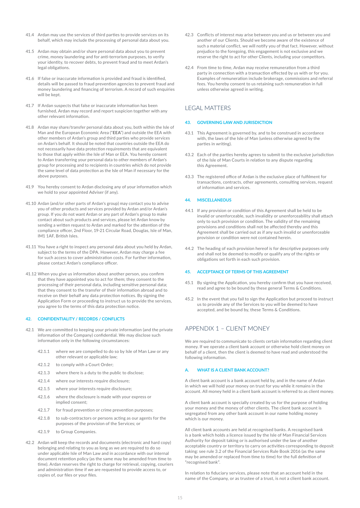- 41.4 Ardan may use the services of third parties to provide services on its behalf, which may include the processing of personal data about you.
- 41.5 Ardan may obtain and/or share personal data about you to prevent crime, money laundering and for anti-terrorism purposes, to verify your identity, to recover debts, to prevent fraud and to meet Ardan's legal obligations.
- 41.6 If false or inaccurate information is provided and fraud is identified, details will be passed to fraud prevention agencies to prevent fraud and money laundering and financing of terrorism. A record of such enquiries will be kept.
- 41.7 If Ardan suspects that false or inaccurate information has been furnished, Ardan may record and report suspicion together with any other relevant information.
- 41.8 Ardan may share/transfer personal data about you, both within the Isle of Man and the European Economic Area ("**EEA**") and outside the EEA with other members of Ardan's group and third parties who provide services on Ardan's behalf. It should be noted that countries outside the EEA do not necessarily have data protection requirements that are equivalent to those that apply within the Isle of Man or EEA. You hereby consent to Ardan transferring your personal data to other members of Ardan's group for processing and to recipients in countries which do not provide the same level of data protection as the Isle of Man if necessary for the above purposes.
- 41.9 You hereby consent to Ardan disclosing any of your information which we hold to your appointed Adviser (if any).
- 41.10 Ardan (and/or other parts of Ardan's group) may contact you to advise you of other products and services provided by Ardan and/or Ardan's group. If you do not want Ardan or any part of Ardan's group to make contact about such products and services, please let Ardan know by sending a written request to Ardan and marked for the attention of the compliance officer, 2nd Floor, 19-21 Circular Road, Douglas, Isle of Man, IM1 1AF, British Isles.
- 41.11 You have a right to inspect any personal data about you held by Ardan, subject to the terms of the DPA. However, Ardan may charge a fee for such access to cover administration costs. For further information, please contact Ardan's compliance officer.
- 41.12 When you give us information about another person, you confirm that they have appointed you to act for them; they consent to the processing of their personal data, including sensitive personal data; that they consent to the transfer of their information abroad and to receive on their behalf any data protection notices. By signing the Application Form or proceeding to instruct us to provide the services, you agree to the terms of this data protection notice.

#### **42. CONFIDENTIALITY / RECORDS / CONFLICTS**

- 42.1 We are committed to keeping your private information (and the private information of the Company) confidential. We may disclose such information only in the following circumstances:
	- 42.1.1 where we are compelled to do so by Isle of Man Law or any other relevant or applicable law;
	- 42.1.2 to comply with a Court Order;
	- 42.1.3 where there is a duty to the public to disclose;
	- 42.1.4 where our interests require disclosure;
	- 42.1.5 where your interests require disclosure;
	- 42.1.6 where the disclosure is made with your express or implied consent;
	- 42.1.7 for fraud prevention or crime prevention purposes;
	- 42.1.8 to sub-contractors or persons acting as our agents for the purposes of the provision of the Services; or
	- 42.1.9 to Group Companies.
- 42.2 Ardan will keep the records and documents (electronic and hard copy) belonging and relating to you as long as we are required to do so under applicable Isle of Man Law and in accordance with our internal document retention policy (as the same may be amended from time to time). Ardan reserves the right to charge for retrieval, copying, couriers and administration time if we are requested to provide access to, or copies of, our files or your files.
- 42.3 Conflicts of interest may arise between you and us or between you and another of our Clients. Should we become aware of the existence of such a material conflict, we will notify you of that fact. However, without prejudice to the foregoing, this engagement is not exclusive and we reserve the right to act for other Clients, including your competitors.
- 42.4 From time to time, Ardan may receive remuneration from a third party in connection with a transaction effected by us with or for you. Examples of remuneration include brokerage, commissions and referral fees. You hereby consent to us retaining such remuneration in full unless otherwise agreed in writing.

### LEGAL MATTERS

#### **43. GOVERNING LAW AND JURISDICTION**

- 43.1 This Agreement is governed by, and to be construed in accordance with, the laws of the Isle of Man (unless otherwise agreed by the parties in writing).
- 43.2 Each of the parties hereby agrees to submit to the exclusive jurisdiction of the Isle of Man Courts in relation to any dispute regarding this Agreement.
- 43.3 The registered office of Ardan is the exclusive place of fulfilment for transactions, contracts, other agreements, consulting services, request of information and services.

#### **44. MISCELLANEOUS**

- 44.1 If any provision or condition of this Agreement shall be held to be invalid or unenforceable, such invalidity or unenforceability shall attach only to such provision or condition. The validity of the remaining provisions and conditions shall not be affected thereby and this Agreement shall be carried out as if any such invalid or unenforceable provision or condition were not contained herein.
- 44.2 The heading of each provision hereof is for descriptive purposes only and shall not be deemed to modify or qualify any of the rights or obligations set forth in each such provision.

#### **45. ACCEPTANCE OF TERMS OF THIS AGREEMENT**

- 45.1 By signing the Application, you hereby confirm that you have received, read and agree to be bound by these general Terms & Conditions.
- 45.2 In the event that you fail to sign the Application but proceed to instruct us to provide any of the Services to you will be deemed to have accepted, and be bound by, these Terms & Conditions.

# APPENDIX 1 – CLIENT MONEY

We are required to communicate to clients certain information regarding client money. If we operate a client bank account or otherwise hold client money on behalf of a client, then the client is deemed to have read and understood the following information.

#### **A. WHAT IS A CLIENT BANK ACCOUNT?**

A client bank account is a bank account held by, and in the name of Ardan in which we will hold your money on trust for you while it remains in the account. All money held in a client bank account is referred to as client money.

A client bank account is specially created by us for the purpose of holding your money and the money of other clients. The client bank account is segregated from any other bank account in our name holding money which is our money.

All client bank accounts are held at recognised banks. A recognised bank is a bank which holds a licence issued by the Isle of Man Financial Services Authority for deposit taking or is authorised under the law of another acceptable country or territory to carry on activities corresponding to deposit taking: see rule 3.2 of the Financial Services Rule Book 2016 (as the same may be amended or replaced from time to time) for the full definition of "recognised bank".

In relation to fiduciary services, please note that an account held in the name of the Company, or as trustee of a trust, is not a client bank account.